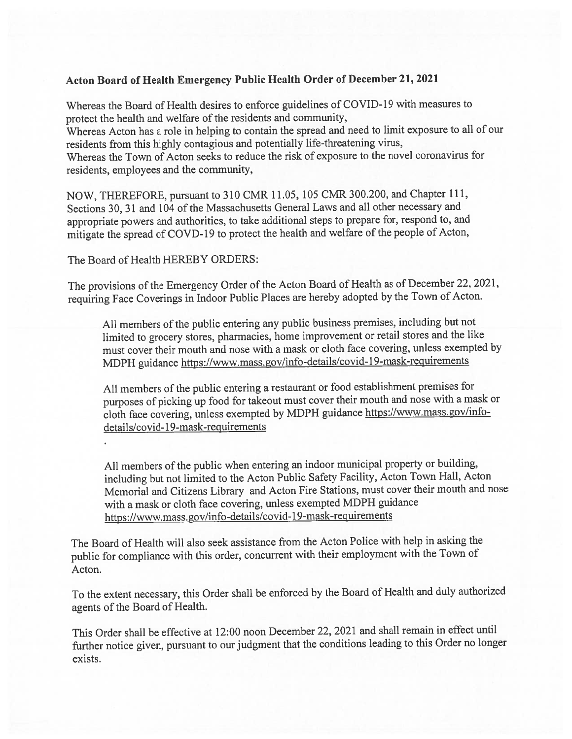## Acton Board of Health Emergency Public Health Order of December 21, <sup>2021</sup>

Whereas the Board of Health desires to enforce guidelines of COVID-19 with measures to protect the health and welfare of the residents and community,

Whereas Acton has <sup>a</sup> role in helping to contain the sprea<sup>d</sup> and need to limit exposure to all of our residents from this highly contagious and potentially life-threatening virus,

Whereas the Town of Acton seeks to reduce the risk of exposure to the novel coronavirus for residents, employees and the community,

NOW, THEREFORE, pursuan<sup>t</sup> to <sup>310</sup> CMR 11.05, <sup>105</sup> CMR 300.200, and Chapter 111, Sections 30, <sup>31</sup> and <sup>104</sup> of the Massachusetts General Laws and all other necessary and appropriate powers and authorities, to take additional steps to prepare for, respon<sup>d</sup> to, and mitigate the sprea<sup>d</sup> of COVD- <sup>19</sup> to protect the health and welfare of the people of Acton,

The Board of Health HEREBY ORDERS:

The provisions of the Emergency Order of the Acton Board of Health as of December 22, 2021, requiring Face Coverings in Indoor Public Places are hereby adopted by the Town of Acton.

All members of the public entering any public business premises, including but not limited to grocery stores, <sup>p</sup>harmacies, home improvement or retail stores and the like must cover their mouth and nose with <sup>a</sup> mask or cloth face covering, unless exempted by MDPH guidance https://www.mass. gov/info-details/covid- 19-mask-requirements

All members of the public entering <sup>a</sup> restaurant or food establishment premises for purposes of <sup>p</sup>icking up food for takeout must cover their mouth and nose with <sup>a</sup> mask or cloth face covering, unless exempted by MDPH guidance https://www.mass.gov/info details/covid-19-mask-requirements

All members of the public when entering an indoor municipal property or building, including but not limited to the Acton Public Safety Facility, Acton Town Hall, Acton Memorial and Citizens Library and Acton Fire Stations, must cover their mouth and nose with <sup>a</sup> mask or cloth face covering, unless exempted MDPH guidance https://www.mass.gov/info-details/covid- 19-mask-requirements

The Board of Health will also seek assistance from the Acton Police with help in asking the public for compliance with this order, concurrent with their employment with the Town of Acton.

To the extent necessary, this Order shall be enforced by the Board of Health and duly authorized agents of the Board of Health.

This Order shall be effective at 12:00 noon December 22, <sup>2021</sup> and shall remain in effect until further notice <sup>g</sup>iven, pursuan<sup>t</sup> to our judgment that the conditions leading to this Order no longer exists.